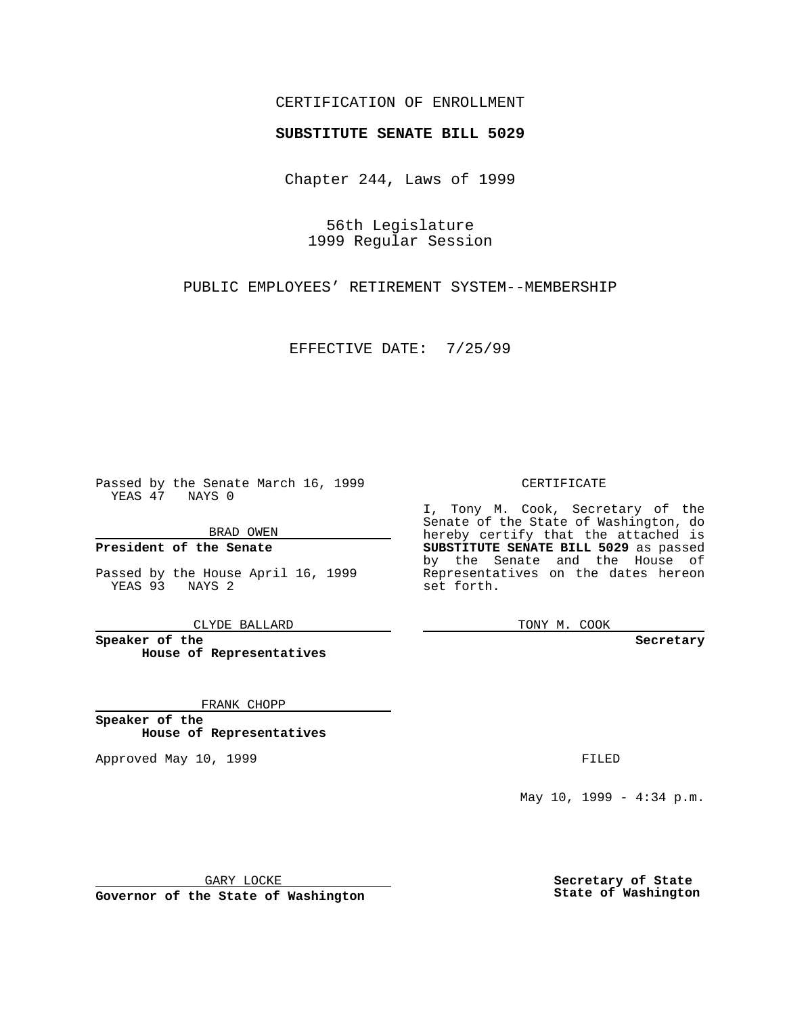## CERTIFICATION OF ENROLLMENT

# **SUBSTITUTE SENATE BILL 5029**

Chapter 244, Laws of 1999

56th Legislature 1999 Regular Session

PUBLIC EMPLOYEES' RETIREMENT SYSTEM--MEMBERSHIP

EFFECTIVE DATE: 7/25/99

Passed by the Senate March 16, 1999 YEAS 47 NAYS 0

BRAD OWEN

**President of the Senate**

Passed by the House April 16, 1999 YEAS 93 NAYS 2

CLYDE BALLARD

**Speaker of the House of Representatives**

FRANK CHOPP

**Speaker of the House of Representatives**

Approved May 10, 1999 **FILED** 

CERTIFICATE

I, Tony M. Cook, Secretary of the Senate of the State of Washington, do hereby certify that the attached is **SUBSTITUTE SENATE BILL 5029** as passed by the Senate and the House of Representatives on the dates hereon set forth.

TONY M. COOK

#### **Secretary**

May 10, 1999 - 4:34 p.m.

GARY LOCKE

**Governor of the State of Washington**

**Secretary of State State of Washington**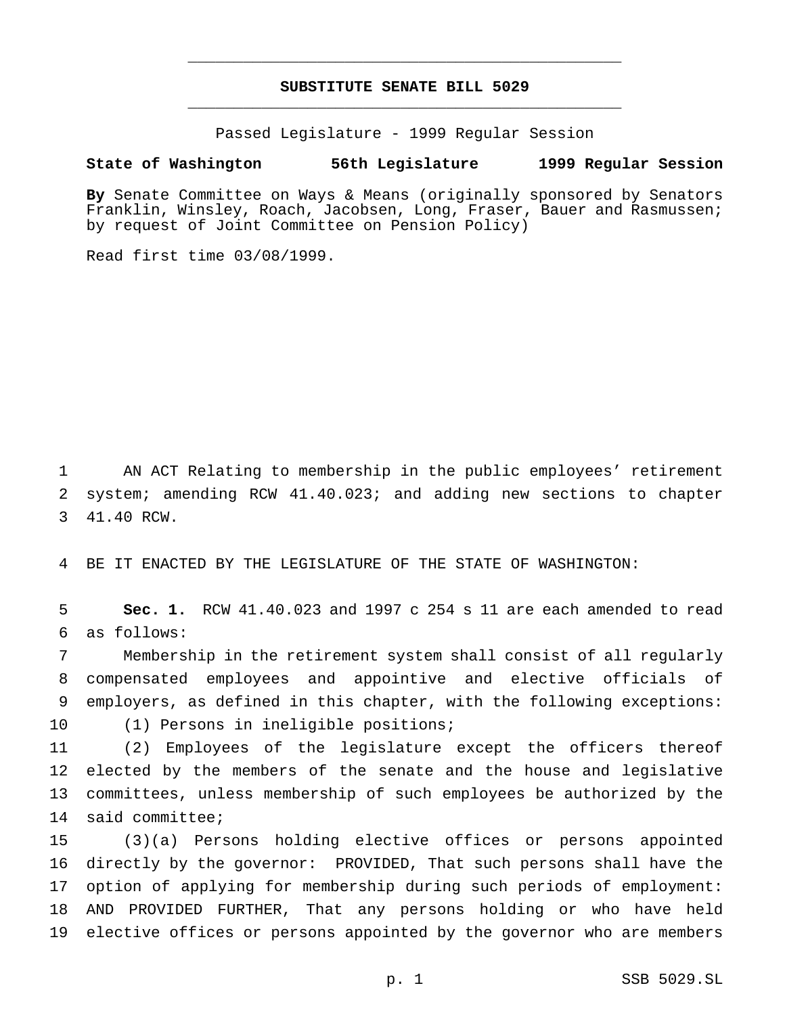## **SUBSTITUTE SENATE BILL 5029** \_\_\_\_\_\_\_\_\_\_\_\_\_\_\_\_\_\_\_\_\_\_\_\_\_\_\_\_\_\_\_\_\_\_\_\_\_\_\_\_\_\_\_\_\_\_\_

\_\_\_\_\_\_\_\_\_\_\_\_\_\_\_\_\_\_\_\_\_\_\_\_\_\_\_\_\_\_\_\_\_\_\_\_\_\_\_\_\_\_\_\_\_\_\_

Passed Legislature - 1999 Regular Session

### **State of Washington 56th Legislature 1999 Regular Session**

**By** Senate Committee on Ways & Means (originally sponsored by Senators Franklin, Winsley, Roach, Jacobsen, Long, Fraser, Bauer and Rasmussen; by request of Joint Committee on Pension Policy)

Read first time 03/08/1999.

 AN ACT Relating to membership in the public employees' retirement system; amending RCW 41.40.023; and adding new sections to chapter 41.40 RCW.

BE IT ENACTED BY THE LEGISLATURE OF THE STATE OF WASHINGTON:

 **Sec. 1.** RCW 41.40.023 and 1997 c 254 s 11 are each amended to read as follows:

 Membership in the retirement system shall consist of all regularly compensated employees and appointive and elective officials of employers, as defined in this chapter, with the following exceptions: (1) Persons in ineligible positions;

 (2) Employees of the legislature except the officers thereof elected by the members of the senate and the house and legislative committees, unless membership of such employees be authorized by the said committee;

 (3)(a) Persons holding elective offices or persons appointed directly by the governor: PROVIDED, That such persons shall have the option of applying for membership during such periods of employment: AND PROVIDED FURTHER, That any persons holding or who have held elective offices or persons appointed by the governor who are members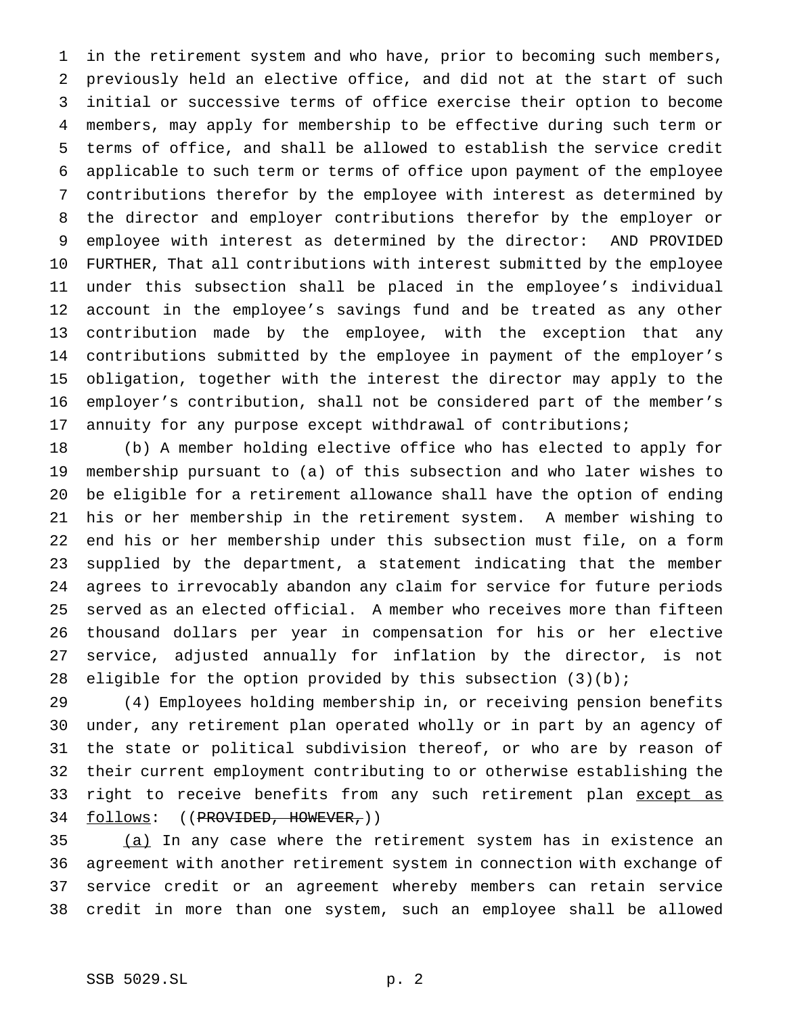in the retirement system and who have, prior to becoming such members, previously held an elective office, and did not at the start of such initial or successive terms of office exercise their option to become members, may apply for membership to be effective during such term or terms of office, and shall be allowed to establish the service credit applicable to such term or terms of office upon payment of the employee contributions therefor by the employee with interest as determined by the director and employer contributions therefor by the employer or employee with interest as determined by the director: AND PROVIDED FURTHER, That all contributions with interest submitted by the employee under this subsection shall be placed in the employee's individual account in the employee's savings fund and be treated as any other contribution made by the employee, with the exception that any contributions submitted by the employee in payment of the employer's obligation, together with the interest the director may apply to the employer's contribution, shall not be considered part of the member's annuity for any purpose except withdrawal of contributions;

 (b) A member holding elective office who has elected to apply for membership pursuant to (a) of this subsection and who later wishes to be eligible for a retirement allowance shall have the option of ending his or her membership in the retirement system. A member wishing to end his or her membership under this subsection must file, on a form supplied by the department, a statement indicating that the member agrees to irrevocably abandon any claim for service for future periods served as an elected official. A member who receives more than fifteen thousand dollars per year in compensation for his or her elective service, adjusted annually for inflation by the director, is not 28 eligible for the option provided by this subsection  $(3)(b)$ ;

 (4) Employees holding membership in, or receiving pension benefits under, any retirement plan operated wholly or in part by an agency of the state or political subdivision thereof, or who are by reason of their current employment contributing to or otherwise establishing the 33 right to receive benefits from any such retirement plan except as 34 follows: ((PROVIDED, HOWEVER,))

35 (a) In any case where the retirement system has in existence an agreement with another retirement system in connection with exchange of service credit or an agreement whereby members can retain service credit in more than one system, such an employee shall be allowed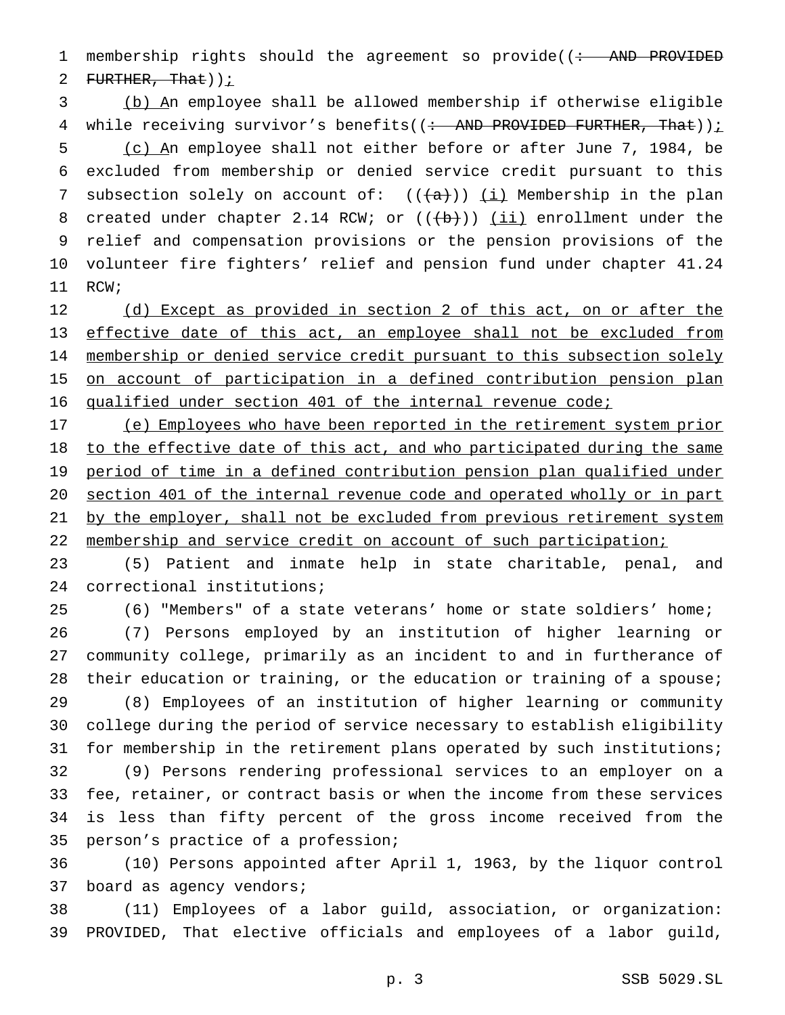1 membership rights should the agreement so provide((: AND PROVIDED 2 FURTHER, That)  $i$ 

 (b) An employee shall be allowed membership if otherwise eligible 4 while receiving survivor's benefits( $($  : AND PROVIDED FURTHER, That)) $\frac{i}{r}$  (c) An employee shall not either before or after June 7, 1984, be excluded from membership or denied service credit pursuant to this 7 subsection solely on account of:  $((+a))$   $(i)$  Membership in the plan 8 created under chapter 2.14 RCW; or  $((+b))$   $(ii)$  enrollment under the relief and compensation provisions or the pension provisions of the volunteer fire fighters' relief and pension fund under chapter 41.24 RCW;

12 (d) Except as provided in section 2 of this act, on or after the effective date of this act, an employee shall not be excluded from 14 membership or denied service credit pursuant to this subsection solely 15 on account of participation in a defined contribution pension plan qualified under section 401 of the internal revenue code;

 (e) Employees who have been reported in the retirement system prior 18 to the effective date of this act, and who participated during the same period of time in a defined contribution pension plan qualified under section 401 of the internal revenue code and operated wholly or in part 21 by the employer, shall not be excluded from previous retirement system 22 membership and service credit on account of such participation;

 (5) Patient and inmate help in state charitable, penal, and correctional institutions;

(6) "Members" of a state veterans' home or state soldiers' home;

 (7) Persons employed by an institution of higher learning or community college, primarily as an incident to and in furtherance of their education or training, or the education or training of a spouse;

 (8) Employees of an institution of higher learning or community college during the period of service necessary to establish eligibility for membership in the retirement plans operated by such institutions;

 (9) Persons rendering professional services to an employer on a fee, retainer, or contract basis or when the income from these services is less than fifty percent of the gross income received from the person's practice of a profession;

 (10) Persons appointed after April 1, 1963, by the liquor control board as agency vendors;

 (11) Employees of a labor guild, association, or organization: PROVIDED, That elective officials and employees of a labor guild,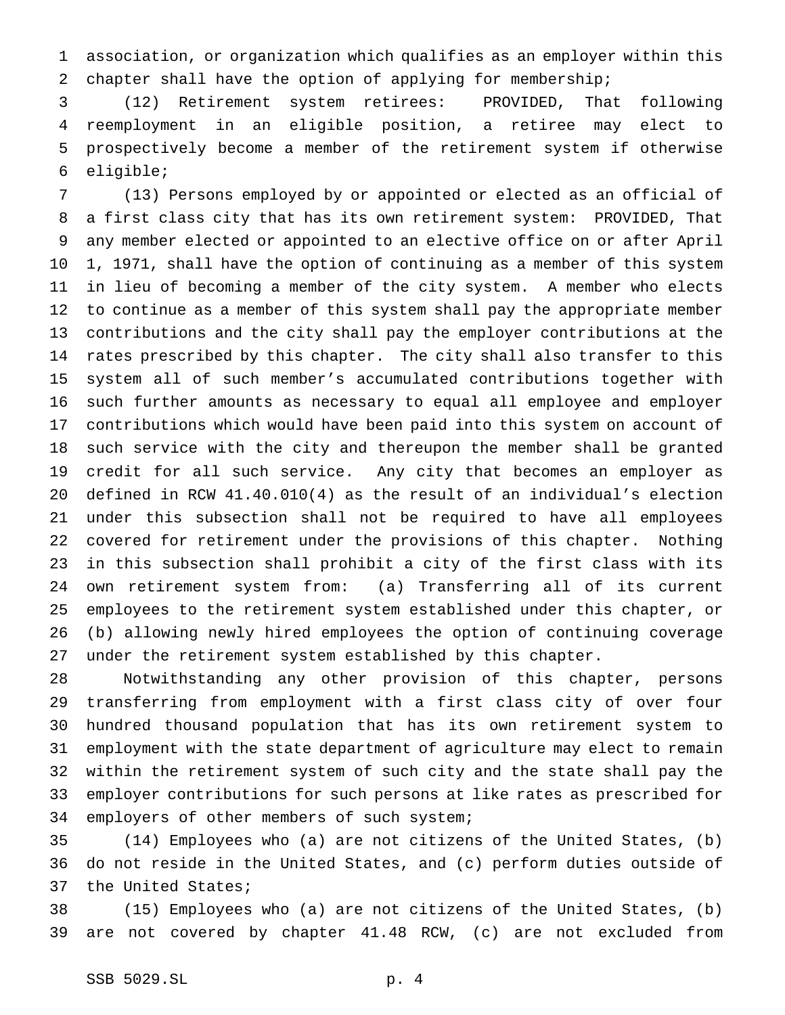association, or organization which qualifies as an employer within this chapter shall have the option of applying for membership;

 (12) Retirement system retirees: PROVIDED, That following reemployment in an eligible position, a retiree may elect to prospectively become a member of the retirement system if otherwise eligible;

 (13) Persons employed by or appointed or elected as an official of a first class city that has its own retirement system: PROVIDED, That any member elected or appointed to an elective office on or after April 1, 1971, shall have the option of continuing as a member of this system in lieu of becoming a member of the city system. A member who elects to continue as a member of this system shall pay the appropriate member contributions and the city shall pay the employer contributions at the rates prescribed by this chapter. The city shall also transfer to this system all of such member's accumulated contributions together with such further amounts as necessary to equal all employee and employer contributions which would have been paid into this system on account of such service with the city and thereupon the member shall be granted credit for all such service. Any city that becomes an employer as defined in RCW 41.40.010(4) as the result of an individual's election under this subsection shall not be required to have all employees covered for retirement under the provisions of this chapter. Nothing in this subsection shall prohibit a city of the first class with its own retirement system from: (a) Transferring all of its current employees to the retirement system established under this chapter, or (b) allowing newly hired employees the option of continuing coverage under the retirement system established by this chapter.

 Notwithstanding any other provision of this chapter, persons transferring from employment with a first class city of over four hundred thousand population that has its own retirement system to employment with the state department of agriculture may elect to remain within the retirement system of such city and the state shall pay the employer contributions for such persons at like rates as prescribed for employers of other members of such system;

 (14) Employees who (a) are not citizens of the United States, (b) do not reside in the United States, and (c) perform duties outside of the United States;

 (15) Employees who (a) are not citizens of the United States, (b) are not covered by chapter 41.48 RCW, (c) are not excluded from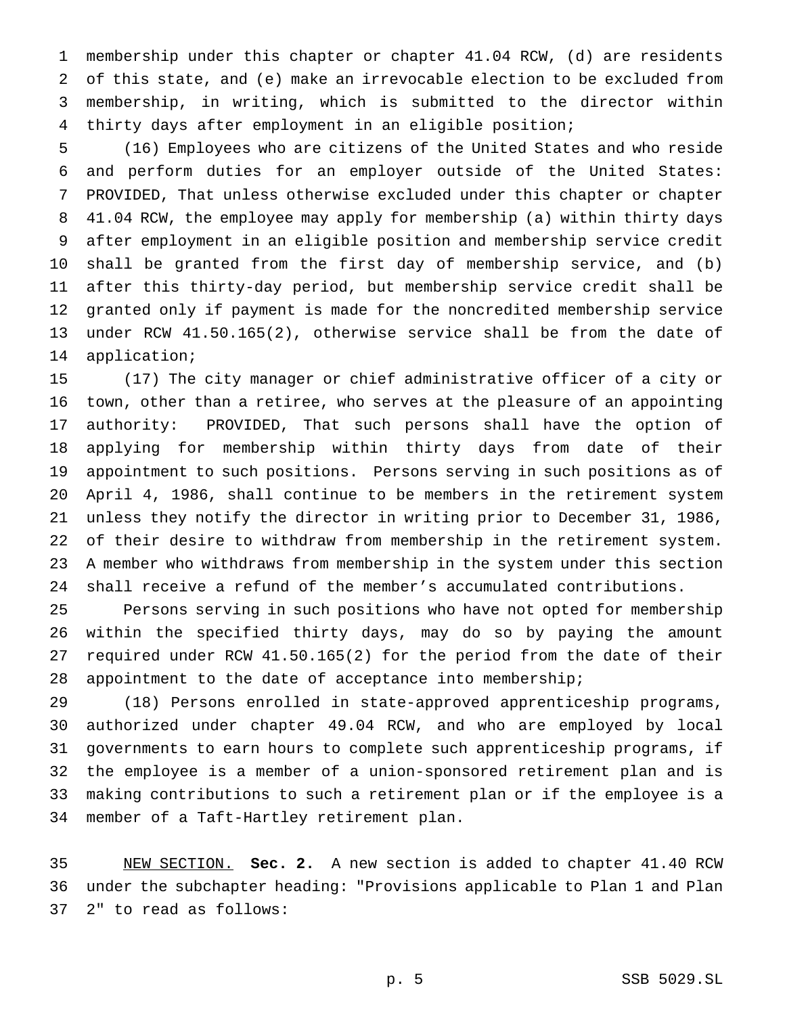membership under this chapter or chapter 41.04 RCW, (d) are residents of this state, and (e) make an irrevocable election to be excluded from membership, in writing, which is submitted to the director within thirty days after employment in an eligible position;

 (16) Employees who are citizens of the United States and who reside and perform duties for an employer outside of the United States: PROVIDED, That unless otherwise excluded under this chapter or chapter 41.04 RCW, the employee may apply for membership (a) within thirty days after employment in an eligible position and membership service credit shall be granted from the first day of membership service, and (b) after this thirty-day period, but membership service credit shall be granted only if payment is made for the noncredited membership service under RCW 41.50.165(2), otherwise service shall be from the date of application;

 (17) The city manager or chief administrative officer of a city or town, other than a retiree, who serves at the pleasure of an appointing authority: PROVIDED, That such persons shall have the option of applying for membership within thirty days from date of their appointment to such positions. Persons serving in such positions as of April 4, 1986, shall continue to be members in the retirement system unless they notify the director in writing prior to December 31, 1986, of their desire to withdraw from membership in the retirement system. A member who withdraws from membership in the system under this section shall receive a refund of the member's accumulated contributions.

 Persons serving in such positions who have not opted for membership within the specified thirty days, may do so by paying the amount required under RCW 41.50.165(2) for the period from the date of their appointment to the date of acceptance into membership;

 (18) Persons enrolled in state-approved apprenticeship programs, authorized under chapter 49.04 RCW, and who are employed by local governments to earn hours to complete such apprenticeship programs, if the employee is a member of a union-sponsored retirement plan and is making contributions to such a retirement plan or if the employee is a member of a Taft-Hartley retirement plan.

 NEW SECTION. **Sec. 2.** A new section is added to chapter 41.40 RCW under the subchapter heading: "Provisions applicable to Plan 1 and Plan 2" to read as follows: